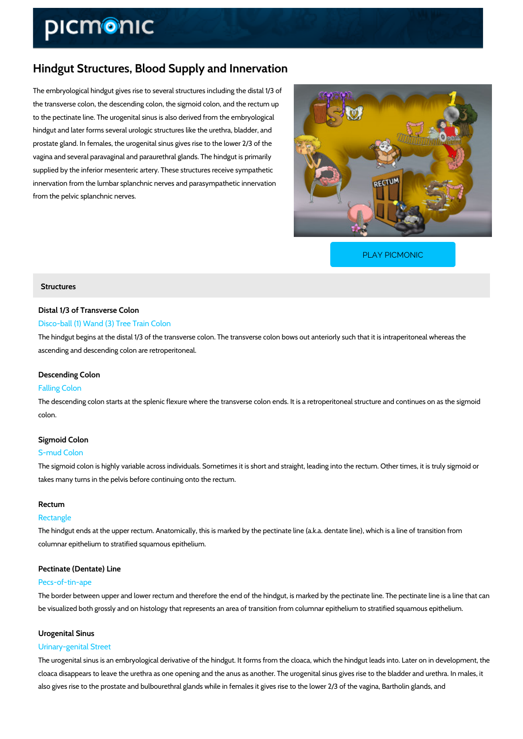# Hindgut Structures, Blood Supply and Innervation

The embryological hindgut gives rise to several structures including the distal 1/3 of the transverse colon, the descending colon, the sigmoid colon, and the rectum up to the pectinate line. The urogenital sinus is also derived from the embryological hindgut and later forms several urologic structures like the urethra, bladder, and prostate gland. In females, the urogenital sinus gives rise to the lower 2/3 of the vagina and several paravaginal and paraurethral glands. The hindgut is primarily supplied by the inferior mesenteric artery. These structures receive sympathetic innervation from the lumbar splanchnic nerves and parasympathetic innervation from the pelvic splanchnic nerves.

[PLAY PICMONIC](https://www.picmonic.com/learn/hindgut-blood-supply-and-innervation_50073?utm_source=downloadable_content&utm_medium=distributedcontent&utm_campaign=pathways_pdf&utm_content=Hindgut Structures, Blood Supply and Innervation&utm_ad_group=leads&utm_market=all)

## **Structures**

## Distal 1/3 of Transverse Colon

## Disco-ball (1) Wand (3) Tree Train Colon

The hindgut begins at the distal 1/3 of the transverse colon. The transverse colon bows out a ascending and descending colon are retroperitoneal.

## Descending Colon

#### Falling Colon

The descending colon starts at the splenic flexure where the transverse colon ends. It is a re colon.

#### Sigmoid Colon

#### S-mud Colon

The sigmoid colon is highly variable across individuals. Sometimes it is short and straight, le takes many turns in the pelvis before continuing onto the rectum.

#### Rectum

#### Rectangle

The hindgut ends at the upper rectum. Anatomically, this is marked by the pectinate line (a.k. columnar epithelium to stratified squamous epithelium.

## Pectinate (Dentate) Line

## Pecs-of-tin-ape

The border between upper and lower rectum and therefore the end of the hindgut, is marked b be visualized both grossly and on histology that represents an area of transition from columna

#### Urogenital Sinus

## Urinary-genital Street

The urogenital sinus is an embryological derivative of the hindgut. It forms from the cloaca, w cloaca disappears to leave the urethra as one opening and the anus as another. The urogenita also gives rise to the prostate and bulbourethral glands while in females it gives rise to the I